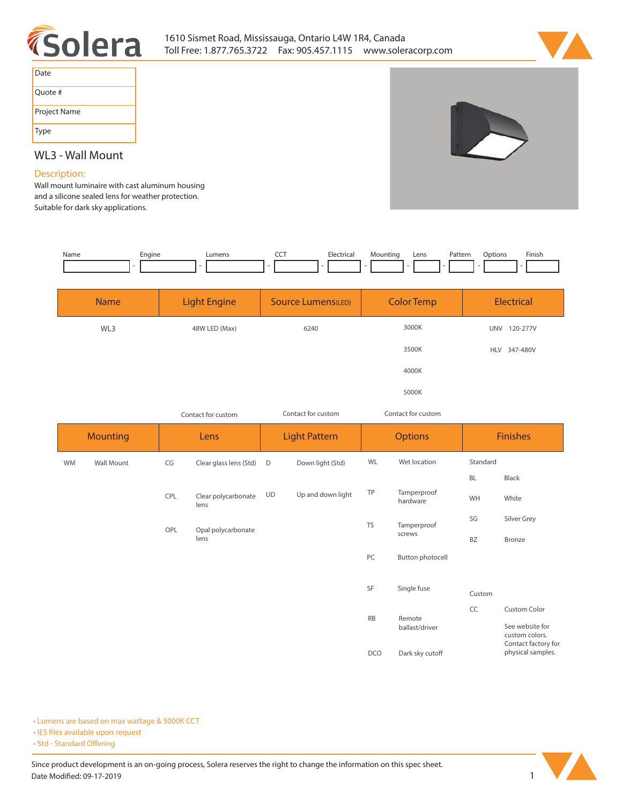



| Date         |
|--------------|
| Ouote #      |
| Project Name |
| Type         |



## **WL3 - Wall Mount**

## **Description:**

**Wall mount luminaire with cast aluminum housing and a silicone sealed lens for weather protection. Suitable for dark sky applications.** 

| Name | Engine<br>- - | umens, | ---<br>$\sim$ $\sim$ | IL.a<br>. | Mountin | Lens | atter,'<br>. | otion | Finis |
|------|---------------|--------|----------------------|-----------|---------|------|--------------|-------|-------|
|      |               |        |                      |           |         |      |              |       |       |

| <b>Name</b> | <b>Light Engine</b> | <b>Source Lumens(LED)</b> | <b>Color Temp</b> | Electrical             |
|-------------|---------------------|---------------------------|-------------------|------------------------|
| WL3         | 48W LED (Max)       | 6240                      | 3000K             | <b>UNV</b><br>120-277V |
|             |                     |                           | 3500K             | HLV 347-480V           |
|             |                     |                           | 4000K             |                        |
|             |                     |                           | 5000K             |                        |

|    | Contact for custom      |     | Contact for custom          |    | Contact for custom |                    |                         |          |                                                          |
|----|-------------------------|-----|-----------------------------|----|--------------------|--------------------|-------------------------|----------|----------------------------------------------------------|
|    | <b>Mounting</b><br>Lens |     | <b>Light Pattern</b>        |    | <b>Options</b>     |                    | <b>Finishes</b>         |          |                                                          |
| WM | Wall Mount              | CG  | Clear glass lens (Std)      | D  | Down light (Std)   | WL<br>Wet location |                         | Standard |                                                          |
|    |                         |     |                             |    |                    |                    |                         | BL       | Black                                                    |
|    |                         | CPL | Clear polycarbonate<br>lens | UD | Up and down light  | TP                 | Tamperproof<br>hardware | WH       | White                                                    |
|    |                         |     |                             |    |                    | <b>TS</b>          | Tamperproof<br>screws   | SG       | Silver Grey                                              |
|    |                         | OPL | Opal polycarbonate<br>lens  |    |                    |                    |                         | BZ       | Bronze                                                   |
|    |                         |     |                             |    |                    | PC                 | Button photocell        |          |                                                          |
|    |                         |     |                             |    |                    |                    |                         |          |                                                          |
|    |                         |     |                             |    |                    | SF                 | Single fuse             | Custom   |                                                          |
|    |                         |     |                             |    |                    |                    | Remote                  | CC       | <b>Custom Color</b>                                      |
|    |                         |     |                             |    |                    | <b>RB</b>          | ballast/driver          |          | See website for<br>custom colors.<br>Contact factory for |
|    |                         |     |                             |    |                    | <b>DCO</b>         | Dark sky cutoff         |          | physical samples.                                        |

**• Lumens are based on max wattage & 5000K CCT**

**• IES files available upon request** 

• Std - Standard Offering

Since product development is an on-going process, Solera reserves the right to change the information on this spec sheet. **Date Modified: 09-17-2019** 1